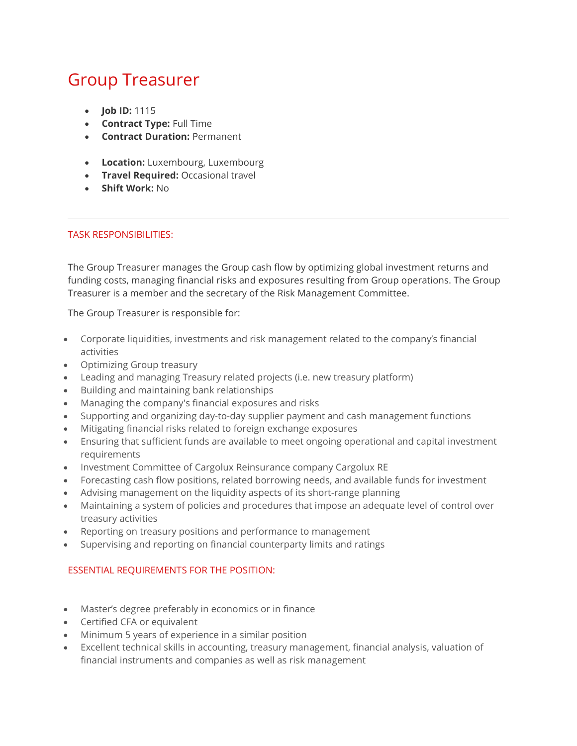## Group Treasurer

- **Job ID: 1115**
- Contract Type: Full Time
- **Contract Duration: Permanent**
- Location: Luxembourg, Luxembourg
- **Travel Required: Occasional travel**
- Shift Work: No

## TASK RESPONSIBILITIES:

The Group Treasurer manages the Group cash flow by optimizing global investment returns and funding costs, managing financial risks and exposures resulting from Group operations. The Group Treasurer is a member and the secretary of the Risk Management Committee.

The Group Treasurer is responsible for:

- Corporate liquidities, investments and risk management related to the company's financial activities
- Optimizing Group treasury
- Leading and managing Treasury related projects (i.e. new treasury platform)
- Building and maintaining bank relationships
- Managing the company's financial exposures and risks
- Supporting and organizing day-to-day supplier payment and cash management functions
- Mitigating financial risks related to foreign exchange exposures
- Ensuring that sufficient funds are available to meet ongoing operational and capital investment requirements
- Investment Committee of Cargolux Reinsurance company Cargolux RE
- Forecasting cash flow positions, related borrowing needs, and available funds for investment
- Advising management on the liquidity aspects of its short-range planning
- Maintaining a system of policies and procedures that impose an adequate level of control over treasury activities
- Reporting on treasury positions and performance to management
- Supervising and reporting on financial counterparty limits and ratings

## ESSENTIAL REQUIREMENTS FOR THE POSITION:

- Master's degree preferably in economics or in finance
- Certified CFA or equivalent
- Minimum 5 years of experience in a similar position
- Excellent technical skills in accounting, treasury management, financial analysis, valuation of financial instruments and companies as well as risk management